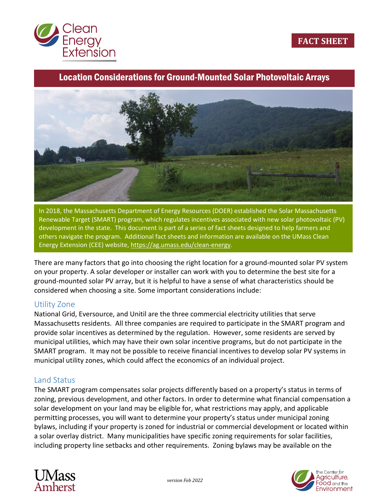

# Location Considerations for Ground-Mounted Solar Photovoltaic Arrays



In 2018, the Massachusetts Department of Energy Resources (DOER) established the Solar Massachusetts Renewable Target (SMART) program, which regulates incentives associated with new solar photovoltaic (PV) development in the state. This document is part of a series of fact sheets designed to help farmers and others navigate the program. Additional fact sheets and information are available on the UMass Clean Energy Extension (CEE) website[, https://ag.umass.edu/clean-energy.](https://ag.umass.edu/clean-energy)

There are many factors that go into choosing the right location for a ground-mounted solar PV system on your property. A solar developer or installer can work with you to determine the best site for a ground-mounted solar PV array, but it is helpful to have a sense of what characteristics should be considered when choosing a site. Some important considerations include:

#### Utility Zone

National Grid, Eversource, and Unitil are the three commercial electricity utilities that serve Massachusetts residents. All three companies are required to participate in the SMART program and provide solar incentives as determined by the regulation. However, some residents are served by municipal utilities, which may have their own solar incentive programs, but do not participate in the SMART program. It may not be possible to receive financial incentives to develop solar PV systems in municipal utility zones, which could affect the economics of an individual project.

#### Land Status

The SMART program compensates solar projects differently based on a property's status in terms of zoning, previous development, and other factors. In order to determine what financial compensation a solar development on your land may be eligible for, what restrictions may apply, and applicable permitting processes, you will want to determine your property's status under municipal zoning bylaws, including if your property is zoned for industrial or commercial development or located within a solar overlay district. Many municipalities have specific zoning requirements for solar facilities, including property line setbacks and other requirements. Zoning bylaws may be available on the



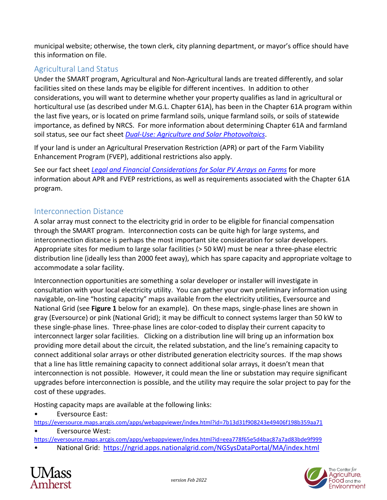municipal website; otherwise, the town clerk, city planning department, or mayor's office should have this information on file.

## Agricultural Land Status

Under the SMART program, Agricultural and Non-Agricultural lands are treated differently, and solar facilities sited on these lands may be eligible for different incentives. In addition to other considerations, you will want to determine whether your property qualifies as land in agricultural or horticultural use (as described under M.G.L. Chapter 61A), has been in the Chapter 61A program within the last five years, or is located on prime farmland soils, unique farmland soils, or soils of statewide importance, as defined by NRCS. For more information about determining Chapter 61A and farmland soil status, see our fact sheet *[Dual-Use: Agriculture and Solar Photovoltaics](https://ag.umass.edu/clean-energy/fact-sheets/dual-use-agriculture-solar-photovoltaics)*.

If your land is under an Agricultural Preservation Restriction (APR) or part of the Farm Viability Enhancement Program (FVEP), additional restrictions also apply.

See our fact sheet *[Legal and Financial Considerations for Solar PV Arrays on Farms](https://ag.umass.edu/clean-energy/fact-sheets/legal-financial-considerations-for-solar-pv-systems-on-farms)* for more information about APR and FVEP restrictions, as well as requirements associated with the Chapter 61A program.

### Interconnection Distance

A solar array must connect to the electricity grid in order to be eligible for financial compensation through the SMART program. Interconnection costs can be quite high for large systems, and interconnection distance is perhaps the most important site consideration for solar developers. Appropriate sites for medium to large solar facilities (> 50 kW) must be near a three-phase electric distribution line (ideally less than 2000 feet away), which has spare capacity and appropriate voltage to accommodate a solar facility.

Interconnection opportunities are something a solar developer or installer will investigate in consultation with your local electricity utility. You can gather your own preliminary information using navigable, on-line "hosting capacity" maps available from the electricity utilities, Eversource and National Grid (see **Figure 1** below for an example). On these maps, single-phase lines are shown in gray (Eversource) or pink (National Grid); it may be difficult to connect systems larger than 50 kW to these single-phase lines. Three-phase lines are color-coded to display their current capacity to interconnect larger solar facilities. Clicking on a distribution line will bring up an information box providing more detail about the circuit, the related substation, and the line's remaining capacity to connect additional solar arrays or other distributed generation electricity sources. If the map shows that a line has little remaining capacity to connect additional solar arrays, it doesn't mean that interconnection is not possible. However, it could mean the line or substation may require significant upgrades before interconnection is possible, and the utility may require the solar project to pay for the cost of these upgrades.

Hosting capacity maps are available at the following links:

• Eversource East:

<https://eversource.maps.arcgis.com/apps/webappviewer/index.html?id=7b13d31f908243e49406f198b359aa71>

Eversource West:

<https://eversource.maps.arcgis.com/apps/webappviewer/index.html?id=eea778f65e5d4bac87a7ad83bde9f999>

• National Grid: <https://ngrid.apps.nationalgrid.com/NGSysDataPortal/MA/index.html>



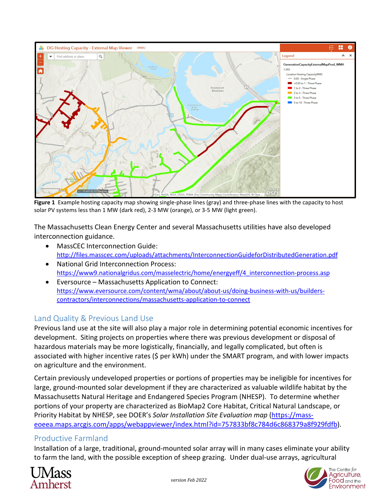

**Figure 1** Example hosting capacity map showing single-phase lines (gray) and three-phase lines with the capacity to host solar PV systems less than 1 MW (dark red), 2-3 MW (orange), or 3-5 MW (light green).

The Massachusetts Clean Energy Center and several Massachusetts utilities have also developed interconnection guidance.

- MassCEC Interconnection Guide: <http://files.masscec.com/uploads/attachments/InterconnectionGuideforDistributedGeneration.pdf>
- National Grid Interconnection Process: [https://www9.nationalgridus.com/masselectric/home/energyeff/4\\_interconnection-process.asp](https://www9.nationalgridus.com/masselectric/home/energyeff/4_interconnection-process.asp)
- Eversource Massachusetts Application to Connect: [https://www.eversource.com/content/wma/about/about-us/doing-business-with-us/builders](https://www.eversource.com/content/wma/about/about-us/doing-business-with-us/builders-contractors/interconnections/massachusetts-application-to-connect)[contractors/interconnections/massachusetts-application-to-connect](https://www.eversource.com/content/wma/about/about-us/doing-business-with-us/builders-contractors/interconnections/massachusetts-application-to-connect)

## Land Quality & Previous Land Use

Previous land use at the site will also play a major role in determining potential economic incentives for development. Siting projects on properties where there was previous development or disposal of hazardous materials may be more logistically, financially, and legally complicated, but often is associated with higher incentive rates (\$ per kWh) under the SMART program, and with lower impacts on agriculture and the environment.

Certain previously undeveloped properties or portions of properties may be ineligible for incentives for large, ground-mounted solar development if they are characterized as valuable wildlife habitat by the Massachusetts Natural Heritage and Endangered Species Program (NHESP). To determine whether portions of your property are characterized as BioMap2 Core Habitat, Critical Natural Landscape, or Priority Habitat by NHESP, see DOER's *Solar Installation Site Evaluation map* [\(https://mass](https://mass-eoeea.maps.arcgis.com/apps/webappviewer/index.html?id=757833bf8c784d6c868379a8f929fdfb)[eoeea.maps.arcgis.com/apps/webappviewer/index.html?id=757833bf8c784d6c868379a8f929fdfb\)](https://mass-eoeea.maps.arcgis.com/apps/webappviewer/index.html?id=757833bf8c784d6c868379a8f929fdfb).

## Productive Farmland

Installation of a large, traditional, ground-mounted solar array will in many cases eliminate your ability to farm the land, with the possible exception of sheep grazing. Under dual-use arrays, agricultural



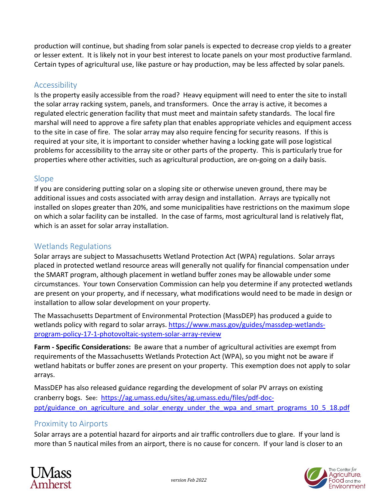production will continue, but shading from solar panels is expected to decrease crop yields to a greater or lesser extent. It is likely not in your best interest to locate panels on your most productive farmland. Certain types of agricultural use, like pasture or hay production, may be less affected by solar panels.

#### Accessibility

Is the property easily accessible from the road? Heavy equipment will need to enter the site to install the solar array racking system, panels, and transformers. Once the array is active, it becomes a regulated electric generation facility that must meet and maintain safety standards. The local fire marshal will need to approve a fire safety plan that enables appropriate vehicles and equipment access to the site in case of fire. The solar array may also require fencing for security reasons. If this is required at your site, it is important to consider whether having a locking gate will pose logistical problems for accessibility to the array site or other parts of the property. This is particularly true for properties where other activities, such as agricultural production, are on-going on a daily basis.

#### Slope

If you are considering putting solar on a sloping site or otherwise uneven ground, there may be additional issues and costs associated with array design and installation. Arrays are typically not installed on slopes greater than 20%, and some municipalities have restrictions on the maximum slope on which a solar facility can be installed. In the case of farms, most agricultural land is relatively flat, which is an asset for solar array installation.

## Wetlands Regulations

Solar arrays are subject to Massachusetts Wetland Protection Act (WPA) regulations. Solar arrays placed in protected wetland resource areas will generally not qualify for financial compensation under the SMART program, although placement in wetland buffer zones may be allowable under some circumstances. Your town Conservation Commission can help you determine if any protected wetlands are present on your property, and if necessary, what modifications would need to be made in design or installation to allow solar development on your property.

The Massachusetts Department of Environmental Protection (MassDEP) has produced a guide to wetlands policy with regard to solar arrays. [https://www.mass.gov/guides/massdep-wetlands](https://www.mass.gov/guides/massdep-wetlands-program-policy-17-1-photovoltaic-system-solar-array-review)[program-policy-17-1-photovoltaic-system-solar-array-review](https://www.mass.gov/guides/massdep-wetlands-program-policy-17-1-photovoltaic-system-solar-array-review)

**Farm - Specific Considerations:** Be aware that a number of agricultural activities are exempt from requirements of the Massachusetts Wetlands Protection Act (WPA), so you might not be aware if wetland habitats or buffer zones are present on your property. This exemption does not apply to solar arrays.

MassDEP has also released guidance regarding the development of solar PV arrays on existing cranberry bogs. See: [https://ag.umass.edu/sites/ag.umass.edu/files/pdf-doc](https://ag.umass.edu/sites/ag.umass.edu/files/pdf-doc-ppt/guidance_on_agriculture_and_solar_energy_under_the_wpa_and_smart_programs_10_5_18.pdf)ppt/guidance on agriculture and solar energy under the wpa and smart programs 10 5 18.pdf

## Proximity to Airports

Solar arrays are a potential hazard for airports and air traffic controllers due to glare. If your land is more than 5 nautical miles from an airport, there is no cause for concern. If your land is closer to an